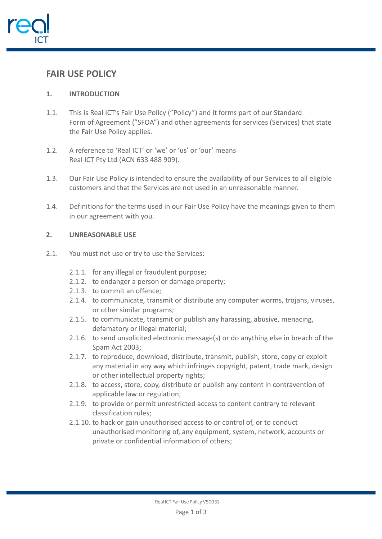

# **FAIR USE POLICY**

## **1. INTRODUCTION**

- 1.1. This is Real ICT's Fair Use Policy ("Policy") and it forms part of our Standard Form of Agreement ("SFOA") and other agreements for services (Services) that state the Fair Use Policy applies.
- 1.2. A reference to 'Real ICT' or 'we' or 'us' or 'our' means Real ICT Pty Ltd (ACN 633 488 909).
- 1.3. Our Fair Use Policy is intended to ensure the availability of our Services to all eligible customers and that the Services are not used in an unreasonable manner.
- 1.4. Definitions for the terms used in our Fair Use Policy have the meanings given to them in our agreement with you.

### **2. UNREASONABLE USE**

- 2.1. You must not use or try to use the Services:
	- 2.1.1. for any illegal or fraudulent purpose;
	- 2.1.2. to endanger a person or damage property;
	- 2.1.3. to commit an offence;
	- 2.1.4. to communicate, transmit or distribute any computer worms, trojans, viruses, or other similar programs;
	- 2.1.5. to communicate, transmit or publish any harassing, abusive, menacing, defamatory or illegal material;
	- 2.1.6. to send unsolicited electronic message(s) or do anything else in breach of the Spam Act 2003;
	- 2.1.7. to reproduce, download, distribute, transmit, publish, store, copy or exploit any material in any way which infringes copyright, patent, trade mark, design or other intellectual property rights;
	- 2.1.8. to access, store, copy, distribute or publish any content in contravention of applicable law or regulation;
	- 2.1.9. to provide or permit unrestricted access to content contrary to relevant classification rules;
	- 2.1.10. to hack or gain unauthorised access to or control of, or to conduct unauthorised monitoring of, any equipment, system, network, accounts or private or confidential information of others;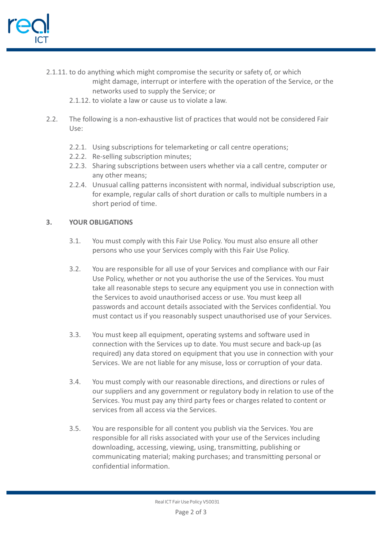

- 2.1.11. to do anything which might compromise the security or safety of, or which might damage, interrupt or interfere with the operation of the Service, or the
	- networks used to supply the Service; or
	- 2.1.12. to violate a law or cause us to violate a law.
- 2.2. The following is a non-exhaustive list of practices that would not be considered Fair Use:
	- 2.2.1. Using subscriptions for telemarketing or call centre operations;
	- 2.2.2. Re-selling subscription minutes;
	- 2.2.3. Sharing subscriptions between users whether via a call centre, computer or any other means;
	- 2.2.4. Unusual calling patterns inconsistent with normal, individual subscription use, for example, regular calls of short duration or calls to multiple numbers in a short period of time.

### **3. YOUR OBLIGATIONS**

- 3.1. You must comply with this Fair Use Policy. You must also ensure all other persons who use your Services comply with this Fair Use Policy.
- 3.2. You are responsible for all use of your Services and compliance with our Fair Use Policy, whether or not you authorise the use of the Services. You must take all reasonable steps to secure any equipment you use in connection with the Services to avoid unauthorised access or use. You must keep all passwords and account details associated with the Services confidential. You must contact us if you reasonably suspect unauthorised use of your Services.
- 3.3. You must keep all equipment, operating systems and software used in connection with the Services up to date. You must secure and back-up (as required) any data stored on equipment that you use in connection with your Services. We are not liable for any misuse, loss or corruption of your data.
- 3.4. You must comply with our reasonable directions, and directions or rules of our suppliers and any government or regulatory body in relation to use of the Services. You must pay any third party fees or charges related to content or services from all access via the Services.
- 3.5. You are responsible for all content you publish via the Services. You are responsible for all risks associated with your use of the Services including downloading, accessing, viewing, using, transmitting, publishing or communicating material; making purchases; and transmitting personal or confidential information.